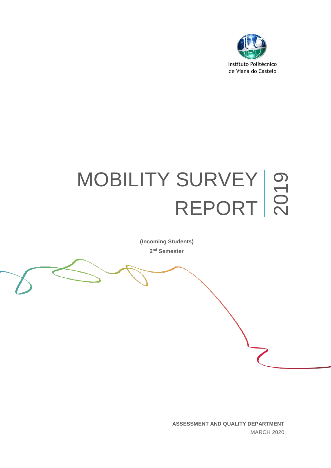

# MOBILITY SURVEY SURVEY | O<br>REPORT | Q

**(Incoming Students) 2 nd Semester**

> **ASSESSMENT AND QUALITY DEPARTMENT**  MARCH 2020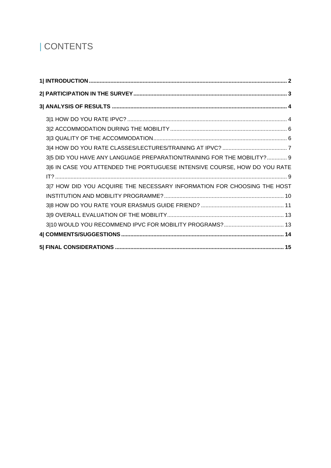# | CONTENTS

| 3 5 DID YOU HAVE ANY LANGUAGE PREPARATION/TRAINING FOR THE MOBILITY?  9   |
|---------------------------------------------------------------------------|
| 3 6 IN CASE YOU ATTENDED THE PORTUGUESE INTENSIVE COURSE, HOW DO YOU RATE |
|                                                                           |
| 3 7 HOW DID YOU ACQUIRE THE NECESSARY INFORMATION FOR CHOOSING THE HOST   |
|                                                                           |
|                                                                           |
|                                                                           |
|                                                                           |
|                                                                           |
|                                                                           |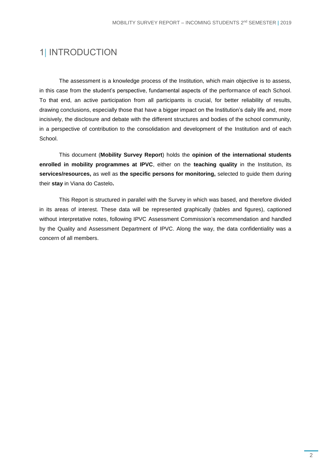## <span id="page-2-0"></span>1| INTRODUCTION

The assessment is a knowledge process of the Institution, which main objective is to assess, in this case from the student's perspective, fundamental aspects of the performance of each School. To that end, an active participation from all participants is crucial, for better reliability of results, drawing conclusions, especially those that have a bigger impact on the Institution's daily life and, more incisively, the disclosure and debate with the different structures and bodies of the school community, in a perspective of contribution to the consolidation and development of the Institution and of each School.

This document (**Mobility Survey Report**) holds the **opinion of the international students enrolled in mobility programmes at IPVC**, either on the **teaching quality** in the Institution, its **services/resources,** as well as **the specific persons for monitoring,** selected to guide them during their **stay** in Viana do Castelo**.**

This Report is structured in parallel with the Survey in which was based, and therefore divided in its areas of interest. These data will be represented graphically (tables and figures), captioned without interpretative notes, following IPVC Assessment Commission's recommendation and handled by the Quality and Assessment Department of IPVC. Along the way, the data confidentiality was a concern of all members.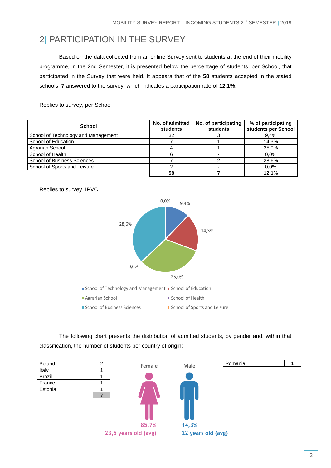# <span id="page-3-0"></span>2| PARTICIPATION IN THE SURVEY

Based on the data collected from an online Survey sent to students at the end of their mobility programme, in the 2nd Semester, it is presented below the percentage of students, per School, that participated in the Survey that were held. It appears that of the **58** students accepted in the stated schools, **7** answered to the survey, which indicates a participation rate of **12,1**%.

Replies to survey, per School

| <b>School</b>                       | No. of admitted<br>students | No. of participating<br>students | % of participating<br>students per School |  |
|-------------------------------------|-----------------------------|----------------------------------|-------------------------------------------|--|
| School of Technology and Management | 32                          |                                  | 9.4%                                      |  |
| School of Education                 |                             |                                  | 14,3%                                     |  |
| Agrarian School                     |                             |                                  | 25.0%                                     |  |
| School of Health                    |                             |                                  | 0.0%                                      |  |
| <b>School of Business Sciences</b>  |                             |                                  | 28,6%                                     |  |
| School of Sports and Leisure        |                             |                                  | 0.0%                                      |  |
|                                     | 58                          |                                  | 12.1%                                     |  |



The following chart presents the distribution of admitted students, by gender and, within that classification, the number of students per country of origin:



Replies to survey, IPVC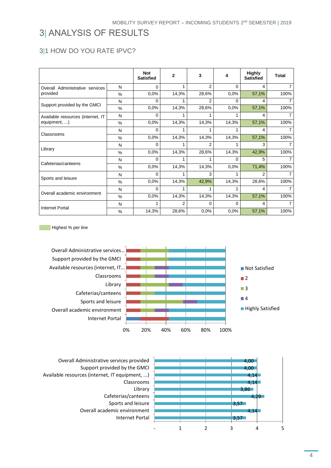# <span id="page-4-0"></span>3| ANALYSIS OF RESULTS

#### <span id="page-4-1"></span>3|1 HOW DO YOU RATE IPVC?

|                                   |               | <b>Not</b><br><b>Satisfied</b> | $\overline{2}$ | 3        | 4     | <b>Highly</b><br><b>Satisfied</b> | <b>Total</b> |
|-----------------------------------|---------------|--------------------------------|----------------|----------|-------|-----------------------------------|--------------|
| Overall Administrative services   | N             | 0                              |                | 2        | 0     | 4                                 |              |
| provided                          | %             | 0,0%                           | 14,3%          | 28,6%    | 0,0%  | 57,1%                             | 100%         |
|                                   | N             | $\Omega$                       |                | 2        | U     | 4                                 |              |
| Support provided by the GMCI      | $\%$          | 0,0%                           | 14,3%          | 28,6%    | 0,0%  | 57,1%                             | 100%         |
| Available resources (internet, IT | N             | 0                              |                |          |       | 4                                 |              |
| equipment, )                      | $\frac{0}{0}$ | 0,0%                           | 14,3%          | 14,3%    | 14,3% | 57,1%                             | 100%         |
|                                   | N             | $\Omega$                       |                |          |       | 4                                 |              |
| Classrooms                        | $\frac{0}{0}$ | 0,0%                           | 14,3%          | 14,3%    | 14,3% | 57,1%                             | 100%         |
|                                   | N             | 0                              |                | 2        |       | 3                                 |              |
| Library                           | %             | 0,0%                           | 14,3%          | 28,6%    | 14,3% | 42,9%                             | 100%         |
|                                   | N             | $\Omega$                       |                |          | 0     | 5                                 |              |
| Cafeterias/canteens               | %             | 0,0%                           | 14,3%          | 14,3%    | 0,0%  | 71,4%                             | 100%         |
|                                   | N             | 0                              |                | 3        |       | 2                                 |              |
| Sports and leisure                | $\%$          | 0,0%                           | 14,3%          | 42,9%    | 14,3% | 28,6%                             | 100%         |
| Overall academic environment      | N             | 0                              |                |          |       | 4                                 |              |
|                                   | $\frac{0}{0}$ | 0,0%                           | 14,3%          | 14,3%    | 14,3% | 57,1%                             | 100%         |
| <b>Internet Portal</b>            | N             | 1                              | $\overline{2}$ | $\Omega$ | U     | 4                                 |              |
|                                   | $\%$          | 14,3%                          | 28,6%          | 0,0%     | 0,0%  | 57,1%                             | 100%         |

Highest % per line



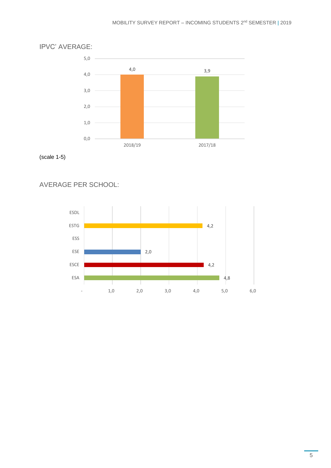

IPVC' AVERAGE:

(scale 1-5)

AVERAGE PER SCHOOL:

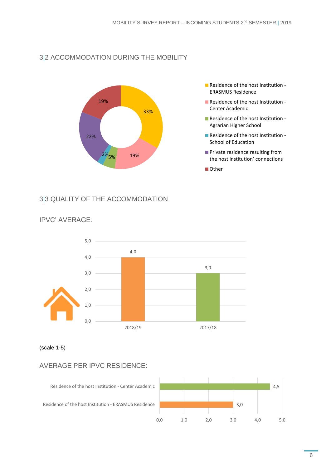#### <span id="page-6-0"></span>3|2 ACCOMMODATION DURING THE MOBILITY



- **Residence of the host Institution -**ERASMUS Residence
- **Residence of the host Institution -**Center Academic
- Residence of the host Institution -Agrarian Higher School
- Residence of the host Institution -School of Education
- **Private residence resulting from** the host institution' connections
- Other

#### <span id="page-6-1"></span>3|3 QUALITY OF THE ACCOMMODATION



#### IPVC' AVERAGE:

#### (scale 1-5)

#### AVERAGE PER IPVC RESIDENCE:

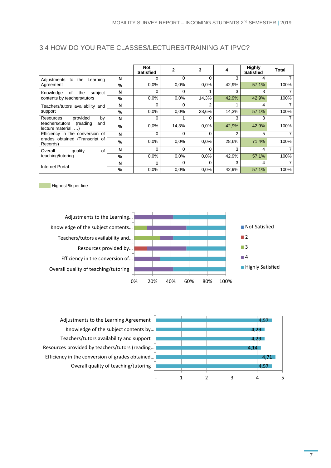|                                                                               |   | <b>Not</b><br><b>Satisfied</b> | 2        | 3              | 4              | <b>Highly</b><br><b>Satisfied</b> | Total          |
|-------------------------------------------------------------------------------|---|--------------------------------|----------|----------------|----------------|-----------------------------------|----------------|
| the<br>Adjustments<br>Learning<br>to                                          | N | 0                              | 0        | $\Omega$       | 3              | 4                                 |                |
| Agreement                                                                     | % | 0.0%                           | 0.0%     | 0.0%           | 42,9%          | 57,1%                             | 100%           |
| 0f<br>the<br>subject<br>Knowledge                                             | N | 0                              | $\Omega$ |                | 3              | 3                                 | 7              |
| contents by teachers/tutors                                                   | % | 0.0%                           | 0.0%     | 14,3%          | 42,9%          | 42,9%                             | 100%           |
| Teachers/tutors availability and                                              | N | 0                              | 0        | $\overline{2}$ |                | 4                                 | $\overline{7}$ |
| support                                                                       | % | 0.0%                           | 0.0%     | 28,6%          | 14,3%          | 57,1%                             | 100%           |
| provided<br>Resources<br>by                                                   | N | 0                              |          | 0              | 3              | 3                                 |                |
| (reading<br>teachers/tutors<br>and<br>lecture material. )                     | % | 0.0%                           | 14,3%    | 0.0%           | 42,9%          | 42,9%                             | 100%           |
| Efficiency in the conversion of<br>grades obtained (Transcript of<br>Records) | N | $\Omega$                       | $\Omega$ | $\Omega$       | $\overline{2}$ | 5                                 | 7              |
|                                                                               | % | 0.0%                           | 0.0%     | 0.0%           | 28,6%          | 71,4%                             | 100%           |
| οf<br>quality<br>Overall<br>teaching/tutoring                                 | N | $\Omega$                       | $\Omega$ | $\Omega$       | 3              | 4                                 | $\overline{7}$ |
|                                                                               | % | 0.0%                           | 0.0%     | 0.0%           | 42,9%          | 57,1%                             | 100%           |
| Internet Portal                                                               | N | 0                              | 0        | $\Omega$       | 3              | 4                                 |                |
|                                                                               | % | 0.0%                           | 0.0%     | 0.0%           | 42,9%          | 57,1%                             | 100%           |

#### <span id="page-7-0"></span>3|4 HOW DO YOU RATE CLASSES/LECTURES/TRAINING AT IPVC?

Highest % per line



Adjustments to the Learning Agreement Knowledge of the subject contents by… Teachers/tutors availability and support Resources provided by teachers/tutors (reading... Efficiency in the conversion of grades obtained… Overall quality of teaching/tutoring



7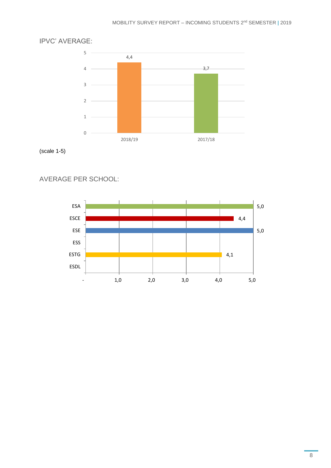

#### IPVC' AVERAGE:

(scale 1-5)

AVERAGE PER SCHOOL:

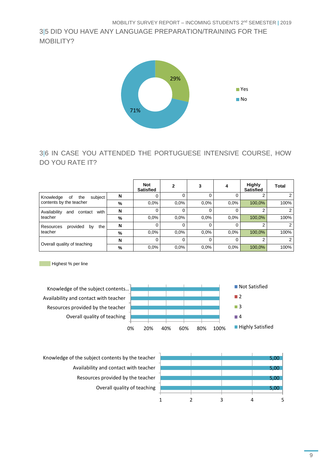<span id="page-9-0"></span>3|5 DID YOU HAVE ANY LANGUAGE PREPARATION/TRAINING FOR THE MOBIL **ITY?** 



#### <span id="page-9-1"></span>3|6 IN CASE YOU ATTENDED THE PORTUGUESE INTENSIVE COURSE, HOW DO YOU RATE IT?

|                                                              |   | <b>Not</b><br><b>Satisfied</b> | 2        | 3        |         | <b>Highly</b><br><b>Satisfied</b> | <b>Total</b> |
|--------------------------------------------------------------|---|--------------------------------|----------|----------|---------|-----------------------------------|--------------|
| subject<br>Knowledge<br>the<br>οf<br>contents by the teacher | N | 0                              | $\Omega$ | 0        | 0       |                                   |              |
|                                                              | % | $0.0\%$                        | $0.0\%$  | 0.0%     | $0.0\%$ | 100,0%                            | 100%         |
| Availability<br>with<br>contact<br>and<br>teacher            | N | 0                              | $\Omega$ | $\Omega$ | 0       |                                   |              |
|                                                              | % | 0.0%                           | 0.0%     | 0.0%     | $0.0\%$ | 100,0%                            | 100%         |
| provided<br>the<br>Resources<br>by<br>teacher                | N | 0                              | 0        | 0        | 0       |                                   |              |
|                                                              | % | $0.0\%$                        | 0.0%     | $0.0\%$  | $0.0\%$ | 100,0%                            | 100%         |
| Overall quality of teaching                                  | N | 0                              | $\Omega$ | 0        | 0       | 2                                 |              |
|                                                              | % | 0.0%                           | 0.0%     | $0.0\%$  | $0.0\%$ | 100,0%                            | 100%         |

**Highest % per line** 



Knowledge of the subject contents by the teacher Availability and contact with teacher Resources provided by the teacher Overall quality of teaching

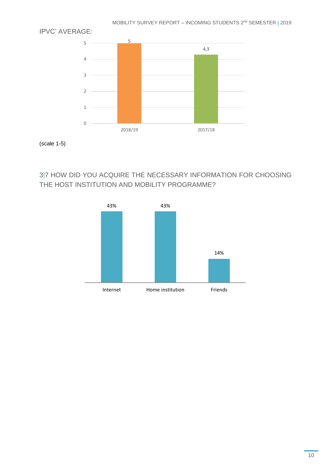

MOBILITY SURVEY REPORT – INCOMING STUDENTS 2 nd SEMESTER **|** 2019

(scale 1-5)

#### <span id="page-10-0"></span>3|7 HOW DID YOU ACQUIRE THE NECESSARY INFORMATION FOR CHOOSING THE HOST INSTITUTION AND MOBILITY PROGRAMME?

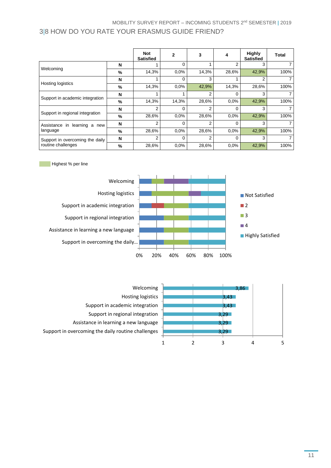#### <span id="page-11-0"></span>MOBILITY SURVEY REPORT – INCOMING STUDENTS 2 nd SEMESTER **|** 2019 3|8 HOW DO YOU RATE YOUR ERASMUS GUIDE FRIEND?

|                                                       |               | <b>Not</b><br><b>Satisfied</b> | 2        | 3              | 4     | <b>Highly</b><br><b>Satisfied</b> | Total |
|-------------------------------------------------------|---------------|--------------------------------|----------|----------------|-------|-----------------------------------|-------|
|                                                       | N             |                                | 0        |                | 2     | 3                                 |       |
| Welcoming                                             | %             | 14,3%                          | 0.0%     | 14,3%          | 28,6% | 42,9%                             | 100%  |
| <b>Hosting logistics</b>                              | N             |                                | 0        | 3              |       | 2                                 |       |
|                                                       | %             | 14,3%                          | 0.0%     | 42,9%          | 14,3% | 28,6%                             | 100%  |
| Support in academic integration                       | N             |                                |          | $\overline{2}$ | 0     | 3                                 |       |
|                                                       | %             | 14,3%                          | 14,3%    | 28,6%          | 0.0%  | 42,9%                             | 100%  |
| Support in regional integration                       | N             | 2                              | 0        | $\overline{2}$ | 0     | 3                                 |       |
|                                                       | %             | 28,6%                          | 0.0%     | 28,6%          | 0.0%  | 42,9%                             | 100%  |
| learning a<br>Assistance<br>in<br>new<br>language     | N             | 2                              | 0        | $\overline{2}$ | 0     | 3                                 |       |
|                                                       | $\frac{9}{6}$ | 28,6%                          | 0.0%     | 28,6%          | 0.0%  | 42,9%                             | 100%  |
| Support in overcoming the daily<br>routine challenges | N             | 2                              | $\Omega$ | $\overline{2}$ | 0     | 3                                 |       |
|                                                       | $\%$          | 28,6%                          | 0.0%     | 28,6%          | 0.0%  | 42,9%                             | 100%  |

Highest % per line



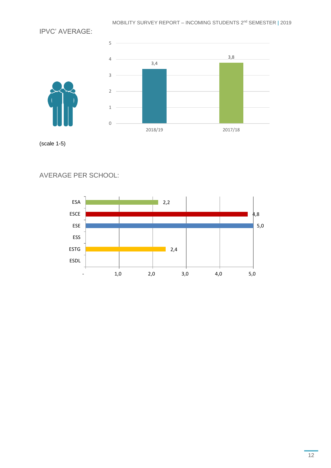IPVC' AVERAGE:



(scale 1-5)

AVERAGE PER SCHOOL:

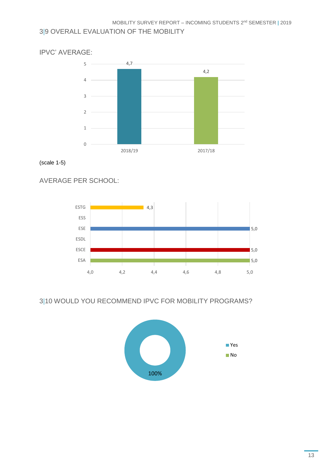#### <span id="page-13-0"></span>3|9 OVERALL EVALUATION OF THE MOBILITY



(scale 1-5)

AVERAGE PER SCHOOL:



#### <span id="page-13-1"></span>3|10 WOULD YOU RECOMMEND IPVC FOR MOBILITY PROGRAMS?

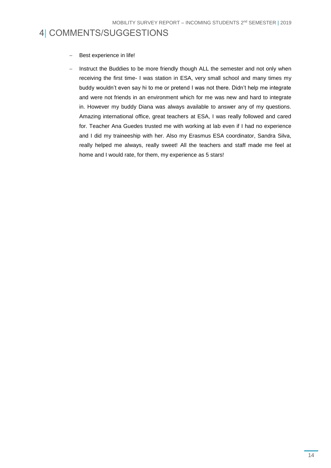### <span id="page-14-0"></span>4| COMMENTS/SUGGESTIONS

- Best experience in life!
- − Instruct the Buddies to be more friendly though ALL the semester and not only when receiving the first time- I was station in ESA, very small school and many times my buddy wouldn't even say hi to me or pretend I was not there. Didn't help me integrate and were not friends in an environment which for me was new and hard to integrate in. However my buddy Diana was always available to answer any of my questions. Amazing international office, great teachers at ESA, I was really followed and cared for. Teacher Ana Guedes trusted me with working at lab even if I had no experience and I did my traineeship with her. Also my Erasmus ESA coordinator, Sandra Silva, really helped me always, really sweet! All the teachers and staff made me feel at home and I would rate, for them, my experience as 5 stars!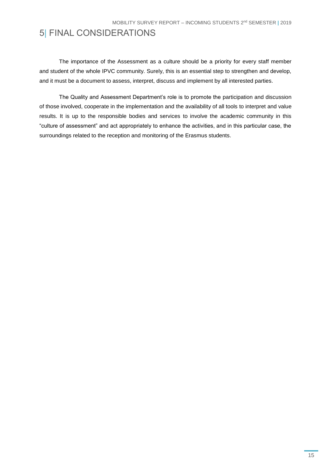## <span id="page-15-0"></span>5| FINAL CONSIDERATIONS

The importance of the Assessment as a culture should be a priority for every staff member and student of the whole IPVC community. Surely, this is an essential step to strengthen and develop, and it must be a document to assess, interpret, discuss and implement by all interested parties.

The Quality and Assessment Department's role is to promote the participation and discussion of those involved, cooperate in the implementation and the availability of all tools to interpret and value results. It is up to the responsible bodies and services to involve the academic community in this "culture of assessment" and act appropriately to enhance the activities, and in this particular case, the surroundings related to the reception and monitoring of the Erasmus students.